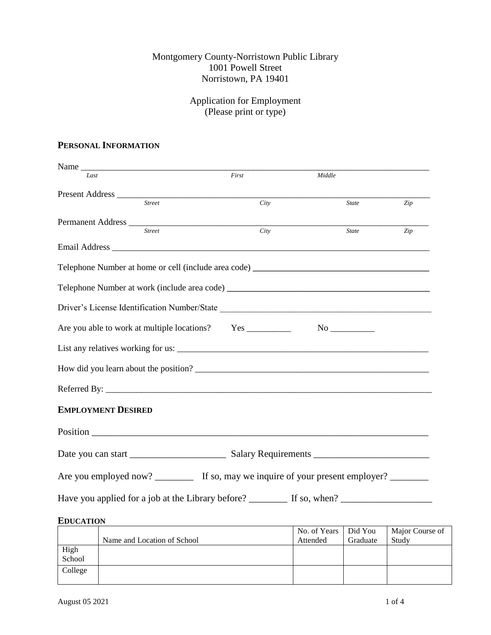## Montgomery County-Norristown Public Library 1001 Powell Street Norristown, PA 19401

## Application for Employment (Please print or type)

## **PERSONAL INFORMATION**

| Name                          |                                                                                             |              |     |
|-------------------------------|---------------------------------------------------------------------------------------------|--------------|-----|
| Last                          | First                                                                                       | Middle       |     |
| Present Address <u>Street</u> |                                                                                             |              |     |
|                               | City                                                                                        | <b>State</b> | Zip |
|                               |                                                                                             |              |     |
| <b>Street</b>                 | City                                                                                        | <b>State</b> | Zip |
|                               |                                                                                             |              |     |
|                               |                                                                                             |              |     |
|                               |                                                                                             |              |     |
|                               |                                                                                             |              |     |
|                               |                                                                                             |              |     |
|                               |                                                                                             |              |     |
|                               | How did you learn about the position?                                                       |              |     |
|                               | Referred By:                                                                                |              |     |
| <b>EMPLOYMENT DESIRED</b>     |                                                                                             |              |     |
|                               |                                                                                             |              |     |
|                               |                                                                                             |              |     |
|                               | Are you employed now? ___________ If so, may we inquire of your present employer? _________ |              |     |
|                               |                                                                                             |              |     |
| <b>EDUCATION</b>              |                                                                                             |              |     |

|         |                             | No. of Years | Did You  | Major Course of |
|---------|-----------------------------|--------------|----------|-----------------|
|         | Name and Location of School | Attended     | Graduate | Study           |
| High    |                             |              |          |                 |
| School  |                             |              |          |                 |
| College |                             |              |          |                 |
|         |                             |              |          |                 |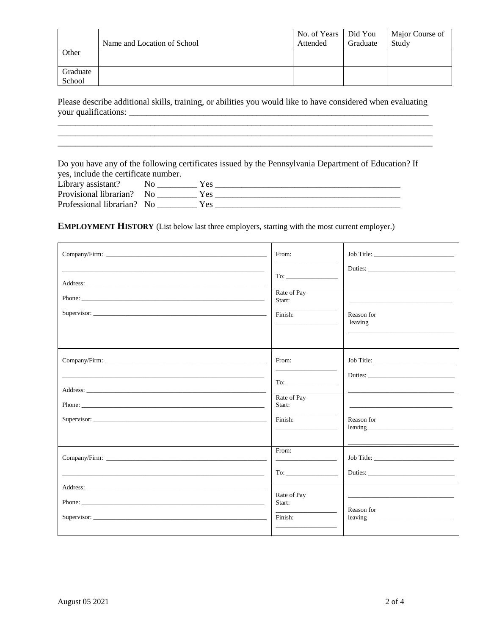|          |                             | No. of Years | Did You  | Major Course of |
|----------|-----------------------------|--------------|----------|-----------------|
|          | Name and Location of School | Attended     | Graduate | Study           |
| Other    |                             |              |          |                 |
|          |                             |              |          |                 |
| Graduate |                             |              |          |                 |
| School   |                             |              |          |                 |

Please describe additional skills, training, or abilities you would like to have considered when evaluating 

Do you have any of the following certificates issued by the Pennsylvania Department of Education? If yes, include the certificate number.

| Library assistant?         | r es |
|----------------------------|------|
| Provisional librarian? No  |      |
| Professional librarian? No |      |

**EMPLOYMENT HISTORY** (List below last three employers, starting with the most current employer.)

| From:<br>Rate of Pay<br>Start:<br>Finish:                                                                                                                                                                                               | Reason for<br>leaving                                                                                                                                                                                                                        |
|-----------------------------------------------------------------------------------------------------------------------------------------------------------------------------------------------------------------------------------------|----------------------------------------------------------------------------------------------------------------------------------------------------------------------------------------------------------------------------------------------|
| From:<br>To:                                                                                                                                                                                                                            |                                                                                                                                                                                                                                              |
| Rate of Pay<br>Start:<br>Finish:                                                                                                                                                                                                        | Reason for<br>leaving the contract of the contract of the contract of the contract of the contract of the contract of the contract of the contract of the contract of the contract of the contract of the contract of the contract of the co |
| From:<br>To: the contract of the contract of the contract of the contract of the contract of the contract of the contract of the contract of the contract of the contract of the contract of the contract of the contract of the contra |                                                                                                                                                                                                                                              |
| Rate of Pay<br>Start:<br>Finish:                                                                                                                                                                                                        | Reason for<br>leaving the contract of the contract of the contract of the contract of the contract of the contract of the contract of the contract of the contract of the contract of the contract of the contract of the contract of the co |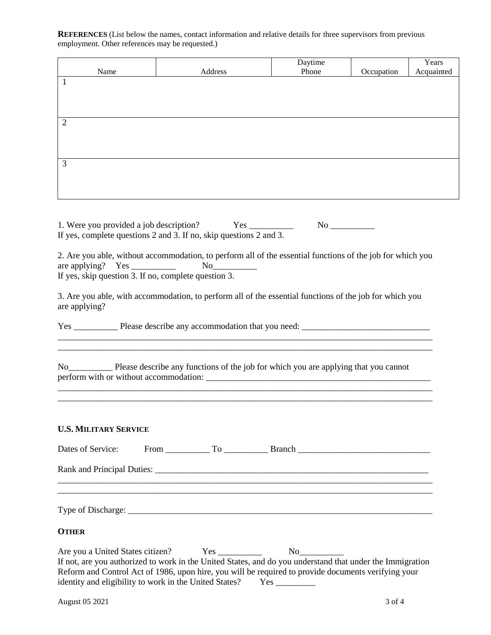**REFERENCES** (List below the names, contact information and relative details for three supervisors from previous employment. Other references may be requested.)

| Name           | Address | Daytime<br>Phone | Occupation | Years<br>Acquainted |
|----------------|---------|------------------|------------|---------------------|
| $\mathbf{1}$   |         |                  |            |                     |
|                |         |                  |            |                     |
| $\overline{2}$ |         |                  |            |                     |
|                |         |                  |            |                     |
| $\mathfrak{Z}$ |         |                  |            |                     |
|                |         |                  |            |                     |
|                |         |                  |            |                     |
|                |         |                  |            |                     |

| 1. Were you provided a job description?                            | Yes | No |  |
|--------------------------------------------------------------------|-----|----|--|
| If yes, complete questions 2 and 3. If no, skip questions 2 and 3. |     |    |  |

2. Are you able, without accommodation, to perform all of the essential functions of the job for which you are applying? Yes No are applying? Yes  $\_\_\_\_\_\_\_\_\_\_\_\_\_\_\_\_$ If yes, skip question  $\overline{3}$ . If no, complete question 3.

3. Are you able, with accommodation, to perform all of the essential functions of the job for which you are applying?

\_\_\_\_\_\_\_\_\_\_\_\_\_\_\_\_\_\_\_\_\_\_\_\_\_\_\_\_\_\_\_\_\_\_\_\_\_\_\_\_\_\_\_\_\_\_\_\_\_\_\_\_\_\_\_\_\_\_\_\_\_\_\_\_\_\_\_\_\_\_\_\_\_\_\_\_\_\_\_\_\_\_\_\_\_

\_\_\_\_\_\_\_\_\_\_\_\_\_\_\_\_\_\_\_\_\_\_\_\_\_\_\_\_\_\_\_\_\_\_\_\_\_\_\_\_\_\_\_\_\_\_\_\_\_\_\_\_\_\_\_\_\_\_\_\_\_\_\_\_\_\_\_\_\_\_\_\_\_\_\_\_\_\_\_\_\_\_\_\_\_ \_\_\_\_\_\_\_\_\_\_\_\_\_\_\_\_\_\_\_\_\_\_\_\_\_\_\_\_\_\_\_\_\_\_\_\_\_\_\_\_\_\_\_\_\_\_\_\_\_\_\_\_\_\_\_\_\_\_\_\_\_\_\_\_\_\_\_\_\_\_\_\_\_\_\_\_\_\_\_\_\_\_\_\_\_

Yes \_\_\_\_\_\_\_\_\_\_ Please describe any accommodation that you need: \_\_\_\_\_\_\_\_\_\_\_\_\_\_\_\_\_\_\_\_\_\_\_\_\_\_\_\_\_

No\_\_\_\_\_\_\_\_\_\_ Please describe any functions of the job for which you are applying that you cannot perform with or without accommodation: \_\_\_\_\_\_\_\_\_\_\_\_\_\_\_\_\_\_\_\_\_\_\_\_\_\_\_\_\_\_\_\_\_\_\_\_\_\_\_\_\_\_\_\_\_\_\_\_\_\_\_

## **U.S. MILITARY SERVICE**

| <b>OTHER</b>                                     |  |                                                                                                                                                                                                                  |
|--------------------------------------------------|--|------------------------------------------------------------------------------------------------------------------------------------------------------------------------------------------------------------------|
| Are you a United States citizen? Yes ___________ |  | If not, are you authorized to work in the United States, and do you understand that under the Immigration<br>Reform and Control Act of 1986, upon hire, you will be required to provide documents verifying your |